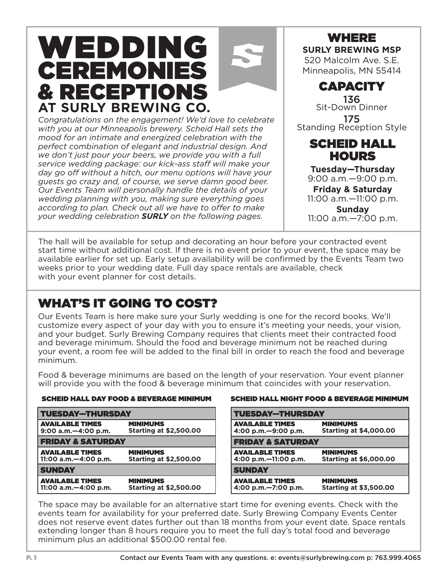# WEDDING CEREMONIES & RECEPTIONS **AT SURLY BREWING CO.**

Congratulations on the engagement! We'd love to celebrate *with you at our Minneapolis brewery. Scheid Hall sets the mood for an intimate and energized celebration with the perfect combination of elegant and industrial design. And we don't just pour your beers, we provide you with a full service wedding package: our kick-ass staff will make your day go off without a hitch, our menu options will have your guests go crazy and, of course, we serve damn good beer. Our Events Team will personally handle the details of your wedding planning with you, making sure everything goes according to plan. Check out all we have to offer to make your wedding celebration SURLY on the following pages.*



520 Malcolm Ave. S.E. Minneapolis, MN 55414

CAPACITY

136 Sit-Down Dinner **175**<br>Standing Reception Style

#### SCHEID HALL **HOURS**

**Tuesday—Thursday** 9:00 a.m.—9:00 p.m.

**Friday & Saturday** 11:00 a.m.—11:00 p.m.

**Sunday** 11:00 a.m.—7:00 p.m.

The hall will be available for setup and decorating an hour before your contracted event start time without additional cost. If there is no event prior to your event, the space may be available earlier for set up. Early setup availability will be confirmed by the Events Team two weeks prior to your wedding date. Full day space rentals are available, check with your event planner for cost details.

## WHAT'S IT GOING TO COST?

Our Events Team is here make sure your Surly wedding is one for the record books. We'll customize every aspect of your day with you to ensure it's meeting your needs, your vision, and your budget. Surly Brewing Company requires that clients meet their contracted food and beverage minimum. Should the food and beverage minimum not be reached during your event, a room fee will be added to the final bill in order to reach the food and beverage minimum.

Food & beverage minimums are based on the length of your reservation. Your event planner will provide you with the food & beverage minimum that coincides with your reservation.

| <b>TUESDAY-THURSDAY</b>                            |                                                  | <b>TUESDAY-THURSDAY</b>                          |  |
|----------------------------------------------------|--------------------------------------------------|--------------------------------------------------|--|
| <b>AVAILABLE TIMES</b><br>$9:00$ a.m. $-4:00$ p.m. | <b>MINIMUMS</b><br><b>Starting at \$2,500.00</b> | <b>AVAILABLE TIMES</b><br>4:00 p.m. - 9:00 p.m.  |  |
| <b>FRIDAY &amp; SATURDAY</b>                       |                                                  | <b>FRIDAY &amp; SATURDAY</b>                     |  |
| <b>AVAILABLE TIMES</b><br>11:00 a.m. - 4:00 p.m.   | <b>MINIMUMS</b><br><b>Starting at \$2,500.00</b> | <b>AVAILABLE TIMES</b><br>4:00 p.m. - 11:00 p.m. |  |
| <b>SUNDAY</b>                                      |                                                  | <b>SUNDAY</b>                                    |  |
| <b>AVAILABLE TIMES</b><br>11:00 a.m. - 4:00 p.m.   | <b>MINIMUMS</b><br><b>Starting at \$2,500.00</b> | <b>AVAILABLE TIMES</b><br>4:00 p.m. - 7:00 p.m.  |  |
|                                                    |                                                  |                                                  |  |

#### SCHEID HALL DAY FOOD & BEVERAGE MINIMUM SCHEID HALL NIGHT FOOD & BEVERAGE MINIMUM

| <b>TUESDAY-THURSDAY</b>      |                               |  |
|------------------------------|-------------------------------|--|
| <b>AVAILABLE TIMES</b>       | <b>MINIMUMS</b>               |  |
| 4:00 p.m. - 9:00 p.m.        | <b>Starting at \$4,000.00</b> |  |
| <b>FRIDAY &amp; SATURDAY</b> |                               |  |
| <b>AVAILABLE TIMES</b>       | <b>MINIMUMS</b>               |  |
| 4:00 p.m. $-11:00$ p.m.      | <b>Starting at \$6,000.00</b> |  |
| <b>SUNDAY</b>                |                               |  |
| <b>AVAILABLE TIMES</b>       | <b>MINIMUMS</b>               |  |
| 4:00 p.m. - 7:00 p.m.        | <b>Starting at \$3,500.00</b> |  |

The space may be available for an alternative start time for evening events. Check with the events team for availability for your preferred date. Surly Brewing Company Events Center does not reserve event dates further out than 18 months from your event date. Space rentals extending longer than 8 hours require you to meet the full day's total food and beverage minimum plus an additional \$500.00 rental fee.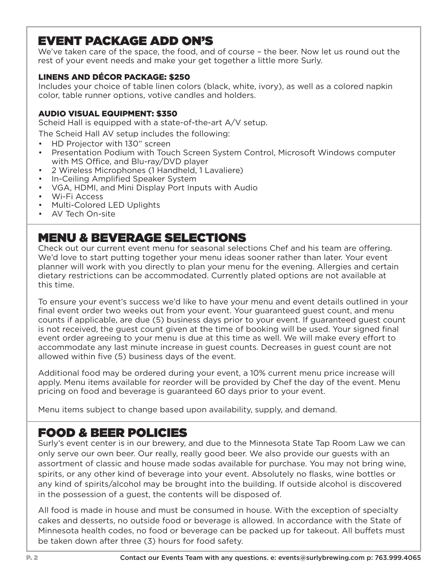#### EVENT PACKAGE ADD ON'S

We've taken care of the space, the food, and of course – the beer. Now let us round out the rest of your event needs and make your get together a little more Surly.

#### LINENS AND DÉCOR PACKAGE: \$250

Includes your choice of table linen colors (black, white, ivory), as well as a colored napkin color, table runner options, votive candles and holders.

#### AUDIO VISUAL EQUIPMENT: \$350

Scheid Hall is equipped with a state-of-the-art A/V setup.

The Scheid Hall AV setup includes the following:

- HD Projector with 130" screen
- Presentation Podium with Touch Screen System Control, Microsoft Windows computer with MS Office, and Blu-ray/DVD player
- 2 Wireless Microphones (1 Handheld, 1 Lavaliere)
- In-Ceiling Amplified Speaker System
- VGA, HDMI, and Mini Display Port Inputs with Audio
- Wi-Fi Access
- Multi-Colored LED Uplights
- AV Tech On-site

#### MENU & BEVERAGE SELECTIONS

Check out our current event menu for seasonal selections Chef and his team are offering. We'd love to start putting together your menu ideas sooner rather than later. Your event planner will work with you directly to plan your menu for the evening. Allergies and certain dietary restrictions can be accommodated. Currently plated options are not available at this time.

To ensure your event's success we'd like to have your menu and event details outlined in your final event order two weeks out from your event. Your guaranteed guest count, and menu counts if applicable, are due (5) business days prior to your event. If guaranteed guest count is not received, the guest count given at the time of booking will be used. Your signed final event order agreeing to your menu is due at this time as well. We will make every effort to accommodate any last minute increase in guest counts. Decreases in guest count are not allowed within five (5) business days of the event.

Additional food may be ordered during your event, a 10% current menu price increase will apply. Menu items available for reorder will be provided by Chef the day of the event. Menu pricing on food and beverage is guaranteed 60 days prior to your event.

Menu items subject to change based upon availability, supply, and demand.

#### FOOD & BEER POLICIES

Surly's event center is in our brewery, and due to the Minnesota State Tap Room Law we can only serve our own beer. Our really, really good beer. We also provide our guests with an assortment of classic and house made sodas available for purchase. You may not bring wine, spirits, or any other kind of beverage into your event. Absolutely no flasks, wine bottles or any kind of spirits/alcohol may be brought into the building. If outside alcohol is discovered in the possession of a guest, the contents will be disposed of.

All food is made in house and must be consumed in house. With the exception of specialty cakes and desserts, no outside food or beverage is allowed. In accordance with the State of Minnesota health codes, no food or beverage can be packed up for takeout. All buffets must be taken down after three (3) hours for food safety.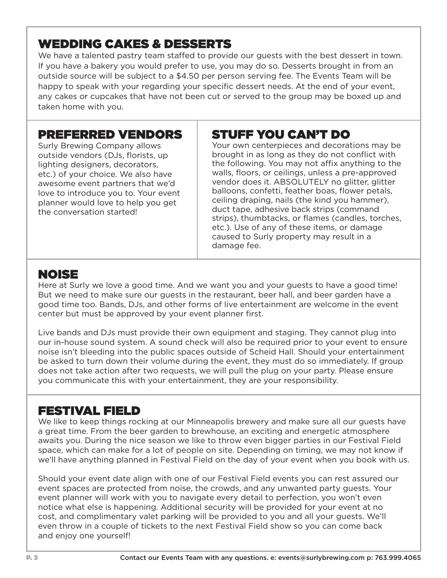### WEDDING CAKES & DESSERTS

We have a talented pastry team staffed to provide our guests with the best dessert in town. If you have a bakery you would prefer to use, you may do so. Desserts brought in from an outside source will be subject to a \$4.50 per person serving fee. The Events Team will be happy to speak with your regarding your specific dessert needs. At the end of your event, any cakes or cupcakes that have not been cut or served to the group may be boxed up and taken home with you.

#### PREFERRED VENDORS

Surly Brewing Company allows outside vendors (DJs, florists, up lighting designers, decorators, etc.) of your choice. We also have awesome event partners that we'd love to introduce you to. Your event planner would love to help you get the conversation started!

### STUFF YOU CAN'T DO

Your own centerpieces and decorations may be brought in as long as they do not conflict with the following. You may not affix anything to the walls, floors, or ceilings, unless a pre-approved vendor does it. ABSOLUTELY no glitter, glitter balloons, confetti, feather boas, flower petals, ceiling draping, nails (the kind you hammer), duct tape, adhesive back strips (command strips), thumbtacks, or flames (candles, torches, etc.). Use of any of these items, or damage caused to Surly property may result in a damage fee.

#### NOISE

Here at Surly we love a good time. And we want you and your guests to have a good time! But we need to make sure our guests in the restaurant, beer hall, and beer garden have a good time too. Bands, DJs, and other forms of live entertainment are welcome in the event center but must be approved by your event planner first.

Live bands and DJs must provide their own equipment and staging. They cannot plug into our in-house sound system. A sound check will also be required prior to your event to ensure noise isn't bleeding into the public spaces outside of Scheid Hall. Should your entertainment be asked to turn down their volume during the event, they must do so immediately. If group does not take action after two requests, we will pull the plug on your party. Please ensure you communicate this with your entertainment, they are your responsibility.

#### FESTIVAL FIELD

We like to keep things rocking at our Minneapolis brewery and make sure all our guests have a great time. From the beer garden to brewhouse, an exciting and energetic atmosphere awaits you. During the nice season we like to throw even bigger parties in our Festival Field space, which can make for a lot of people on site. Depending on timing, we may not know if we'll have anything planned in Festival Field on the day of your event when you book with us.

Should your event date align with one of our Festival Field events you can rest assured our event spaces are protected from noise, the crowds, and any unwanted party guests. Your event planner will work with you to navigate every detail to perfection, you won't even notice what else is happening. Additional security will be provided for your event at no cost, and complimentary valet parking will be provided to you and all your guests. We'll even throw in a couple of tickets to the next Festival Field show so you can come back and enjoy one yourself!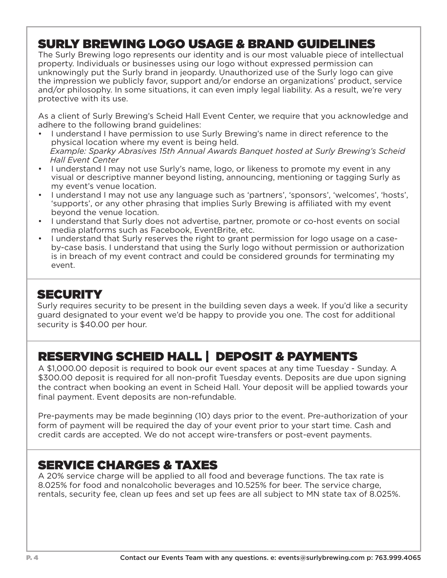### SURLY BREWING LOGO USAGE & BRAND GUIDELINES

The Surly Brewing logo represents our identity and is our most valuable piece of intellectual property. Individuals or businesses using our logo without expressed permission can unknowingly put the Surly brand in jeopardy. Unauthorized use of the Surly logo can give the impression we publicly favor, support and/or endorse an organizations' product, service and/or philosophy. In some situations, it can even imply legal liability. As a result, we're very protective with its use.

As a client of Surly Brewing's Scheid Hall Event Center, we require that you acknowledge and adhere to the following brand guidelines:

- I understand I have permission to use Surly Brewing's name in direct reference to the physical location where my event is being held.  *Example: Sparky Abrasives 15th Annual Awards Banquet hosted at Surly Brewing's Scheid Hall Event Center*
- I understand I may not use Surly's name, logo, or likeness to promote my event in any visual or descriptive manner beyond listing, announcing, mentioning or tagging Surly as my event's venue location.
- I understand I may not use any language such as 'partners', 'sponsors', 'welcomes', 'hosts', 'supports', or any other phrasing that implies Surly Brewing is affiliated with my event beyond the venue location.
- I understand that Surly does not advertise, partner, promote or co-host events on social media platforms such as Facebook, EventBrite, etc.
- I understand that Surly reserves the right to grant permission for logo usage on a caseby-case basis. I understand that using the Surly logo without permission or authorization is in breach of my event contract and could be considered grounds for terminating my event.

#### **SECURITY**

Surly requires security to be present in the building seven days a week. If you'd like a security guard designated to your event we'd be happy to provide you one. The cost for additional security is \$40.00 per hour.

### RESERVING SCHEID HALL | DEPOSIT & PAYMENTS

A \$1,000.00 deposit is required to book our event spaces at any time Tuesday - Sunday. A \$300.00 deposit is required for all non-profit Tuesday events. Deposits are due upon signing the contract when booking an event in Scheid Hall. Your deposit will be applied towards your final payment. Event deposits are non-refundable.

Pre-payments may be made beginning (10) days prior to the event. Pre-authorization of your form of payment will be required the day of your event prior to your start time. Cash and credit cards are accepted. We do not accept wire-transfers or post-event payments.

#### SERVICE CHARGES & TAXES

A 20% service charge will be applied to all food and beverage functions. The tax rate is 8.025% for food and nonalcoholic beverages and 10.525% for beer. The service charge, rentals, security fee, clean up fees and set up fees are all subject to MN state tax of 8.025%.